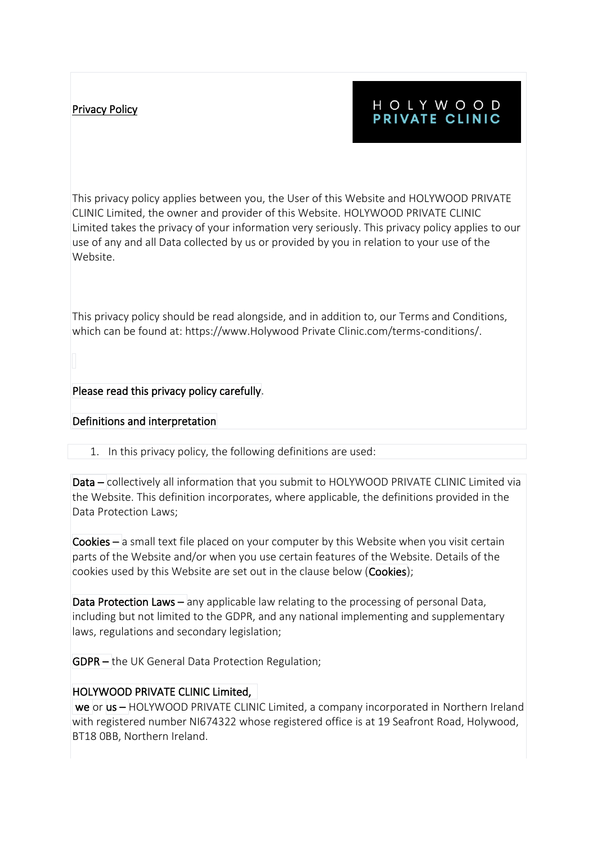# Privacy Policy

# HOLYWOOD PRIVATE CLINIC

This privacy policy applies between you, the User of this Website and HOLYWOOD PRIVATE CLINIC Limited, the owner and provider of this Website. HOLYWOOD PRIVATE CLINIC Limited takes the privacy of your information very seriously. This privacy policy applies to our use of any and all Data collected by us or provided by you in relation to your use of the Website.

This privacy policy should be read alongside, and in addition to, our Terms and Conditions, which can be found at: https://www.Holywood Private Clinic.com/terms-conditions/.

## Please read this privacy policy carefully.

## Definitions and interpretation

1. In this privacy policy, the following definitions are used:

Data – collectively all information that you submit to HOLYWOOD PRIVATE CLINIC Limited via the Website. This definition incorporates, where applicable, the definitions provided in the Data Protection Laws;

 $\text{Cookies}$  – a small text file placed on your computer by this Website when you visit certain parts of the Website and/or when you use certain features of the Website. Details of the cookies used by this Website are set out in the clause below (Cookies);

Data Protection Laws – any applicable law relating to the processing of personal Data, including but not limited to the GDPR, and any national implementing and supplementary laws, regulations and secondary legislation;

GDPR – the UK General Data Protection Regulation;

## HOLYWOOD PRIVATE CLINIC Limited,

 we or us – HOLYWOOD PRIVATE CLINIC Limited, a company incorporated in Northern Ireland with registered number NI674322 whose registered office is at 19 Seafront Road, Holywood, BT18 0BB, Northern Ireland.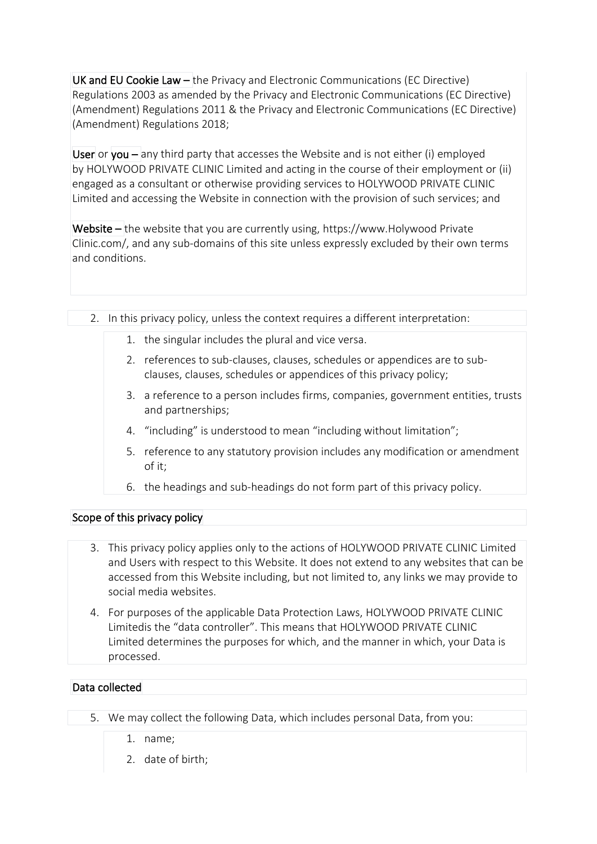UK and EU Cookie Law – the Privacy and Electronic Communications (EC Directive) Regulations 2003 as amended by the Privacy and Electronic Communications (EC Directive) (Amendment) Regulations 2011 & the Privacy and Electronic Communications (EC Directive) (Amendment) Regulations 2018;

User or you – any third party that accesses the Website and is not either (i) employed by HOLYWOOD PRIVATE CLINIC Limited and acting in the course of their employment or (ii) engaged as a consultant or otherwise providing services to HOLYWOOD PRIVATE CLINIC Limited and accessing the Website in connection with the provision of such services; and

Website – the website that you are currently using, https://www.Holywood Private Clinic.com/, and any sub-domains of this site unless expressly excluded by their own terms and conditions.

- 2. In this privacy policy, unless the context requires a different interpretation:
	- 1. the singular includes the plural and vice versa.
	- 2. references to sub-clauses, clauses, schedules or appendices are to subclauses, clauses, schedules or appendices of this privacy policy;
	- 3. a reference to a person includes firms, companies, government entities, trusts and partnerships;
	- 4. "including" is understood to mean "including without limitation";
	- 5. reference to any statutory provision includes any modification or amendment of it;
	- 6. the headings and sub-headings do not form part of this privacy policy.

#### Scope of this privacy policy

- 3. This privacy policy applies only to the actions of HOLYWOOD PRIVATE CLINIC Limited and Users with respect to this Website. It does not extend to any websites that can be accessed from this Website including, but not limited to, any links we may provide to social media websites.
- 4. For purposes of the applicable Data Protection Laws, HOLYWOOD PRIVATE CLINIC Limitedis the "data controller". This means that HOLYWOOD PRIVATE CLINIC Limited determines the purposes for which, and the manner in which, your Data is processed.

#### Data collected

- 5. We may collect the following Data, which includes personal Data, from you:
	- 1. name;
	- 2. date of birth;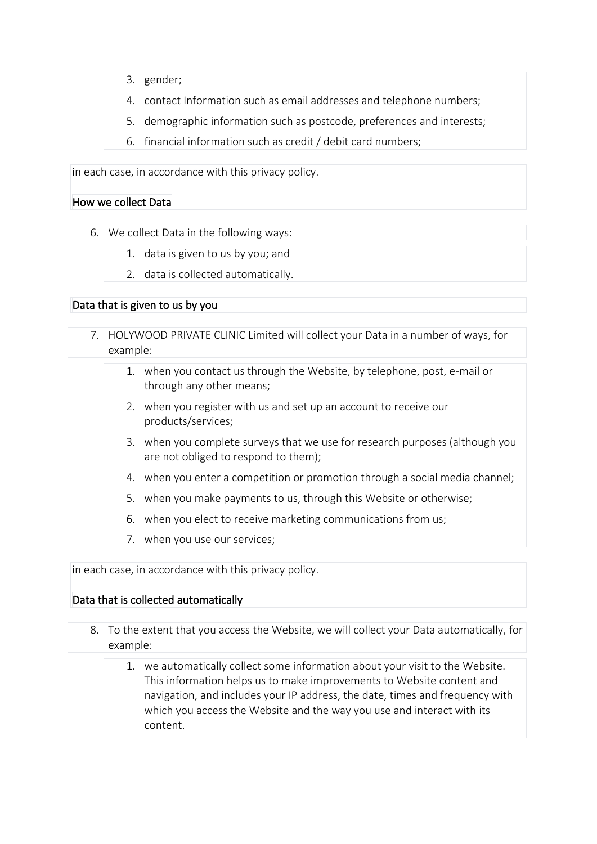- 3. gender;
- 4. contact Information such as email addresses and telephone numbers;
- 5. demographic information such as postcode, preferences and interests;
- 6. financial information such as credit / debit card numbers;

in each case, in accordance with this privacy policy.

#### How we collect Data

6. We collect Data in the following ways:

- 1. data is given to us by you; and
- 2. data is collected automatically.

## Data that is given to us by you

- 7. HOLYWOOD PRIVATE CLINIC Limited will collect your Data in a number of ways, for example:
	- 1. when you contact us through the Website, by telephone, post, e-mail or through any other means;
	- 2. when you register with us and set up an account to receive our products/services;
	- 3. when you complete surveys that we use for research purposes (although you are not obliged to respond to them);
	- 4. when you enter a competition or promotion through a social media channel;
	- 5. when you make payments to us, through this Website or otherwise;
	- 6. when you elect to receive marketing communications from us;
	- 7. when you use our services;

in each case, in accordance with this privacy policy.

## Data that is collected automatically

- 8. To the extent that you access the Website, we will collect your Data automatically, for example:
	- 1. we automatically collect some information about your visit to the Website. This information helps us to make improvements to Website content and navigation, and includes your IP address, the date, times and frequency with which you access the Website and the way you use and interact with its content.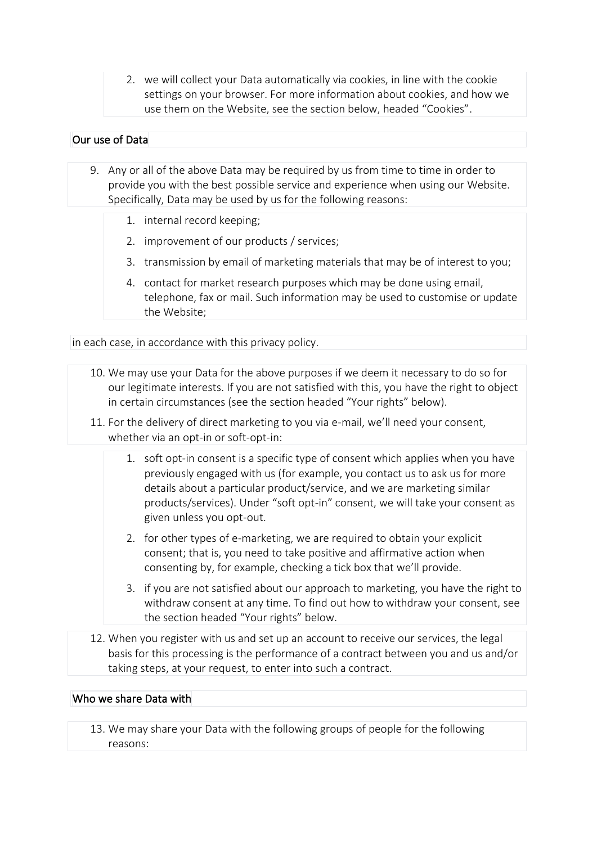2. we will collect your Data automatically via cookies, in line with the cookie settings on your browser. For more information about cookies, and how we use them on the Website, see the section below, headed "Cookies".

## Our use of Data

- 9. Any or all of the above Data may be required by us from time to time in order to provide you with the best possible service and experience when using our Website. Specifically, Data may be used by us for the following reasons:
	- 1. internal record keeping;
	- 2. improvement of our products / services;
	- 3. transmission by email of marketing materials that may be of interest to you;
	- 4. contact for market research purposes which may be done using email, telephone, fax or mail. Such information may be used to customise or update the Website;

in each case, in accordance with this privacy policy.

- 10. We may use your Data for the above purposes if we deem it necessary to do so for our legitimate interests. If you are not satisfied with this, you have the right to object in certain circumstances (see the section headed "Your rights" below).
- 11. For the delivery of direct marketing to you via e-mail, we'll need your consent, whether via an opt-in or soft-opt-in:
	- 1. soft opt-in consent is a specific type of consent which applies when you have previously engaged with us (for example, you contact us to ask us for more details about a particular product/service, and we are marketing similar products/services). Under "soft opt-in" consent, we will take your consent as given unless you opt-out.
	- 2. for other types of e-marketing, we are required to obtain your explicit consent; that is, you need to take positive and affirmative action when consenting by, for example, checking a tick box that we'll provide.
	- 3. if you are not satisfied about our approach to marketing, you have the right to withdraw consent at any time. To find out how to withdraw your consent, see the section headed "Your rights" below.
- 12. When you register with us and set up an account to receive our services, the legal basis for this processing is the performance of a contract between you and us and/or taking steps, at your request, to enter into such a contract.

#### Who we share Data with

13. We may share your Data with the following groups of people for the following reasons: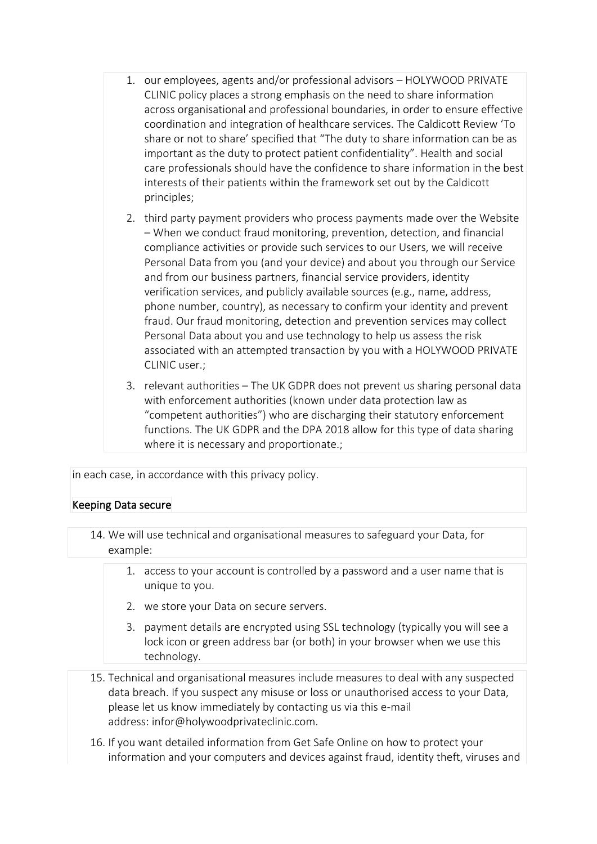- 1. our employees, agents and/or professional advisors HOLYWOOD PRIVATE CLINIC policy places a strong emphasis on the need to share information across organisational and professional boundaries, in order to ensure effective coordination and integration of healthcare services. The Caldicott Review 'To share or not to share' specified that "The duty to share information can be as important as the duty to protect patient confidentiality". Health and social care professionals should have the confidence to share information in the best interests of their patients within the framework set out by the Caldicott principles;
- 2. third party payment providers who process payments made over the Website – When we conduct fraud monitoring, prevention, detection, and financial compliance activities or provide such services to our Users, we will receive Personal Data from you (and your device) and about you through our Service and from our business partners, financial service providers, identity verification services, and publicly available sources (e.g., name, address, phone number, country), as necessary to confirm your identity and prevent fraud. Our fraud monitoring, detection and prevention services may collect Personal Data about you and use technology to help us assess the risk associated with an attempted transaction by you with a HOLYWOOD PRIVATE CLINIC user.;
- 3. relevant authorities The UK GDPR does not prevent us sharing personal data with enforcement authorities (known under data protection law as "competent authorities") who are discharging their statutory enforcement functions. The UK GDPR and the DPA 2018 allow for this type of data sharing where it is necessary and proportionate.;

in each case, in accordance with this privacy policy.

## Keeping Data secure

14. We will use technical and organisational measures to safeguard your Data, for example:

- 1. access to your account is controlled by a password and a user name that is unique to you.
- 2. we store your Data on secure servers.
- 3. payment details are encrypted using SSL technology (typically you will see a lock icon or green address bar (or both) in your browser when we use this technology.
- 15. Technical and organisational measures include measures to deal with any suspected data breach. If you suspect any misuse or loss or unauthorised access to your Data, please let us know immediately by contacting us via this e-mail address: infor@holywoodprivateclinic.com.
- 16. If you want detailed information from Get Safe Online on how to protect your information and your computers and devices against fraud, identity theft, viruses and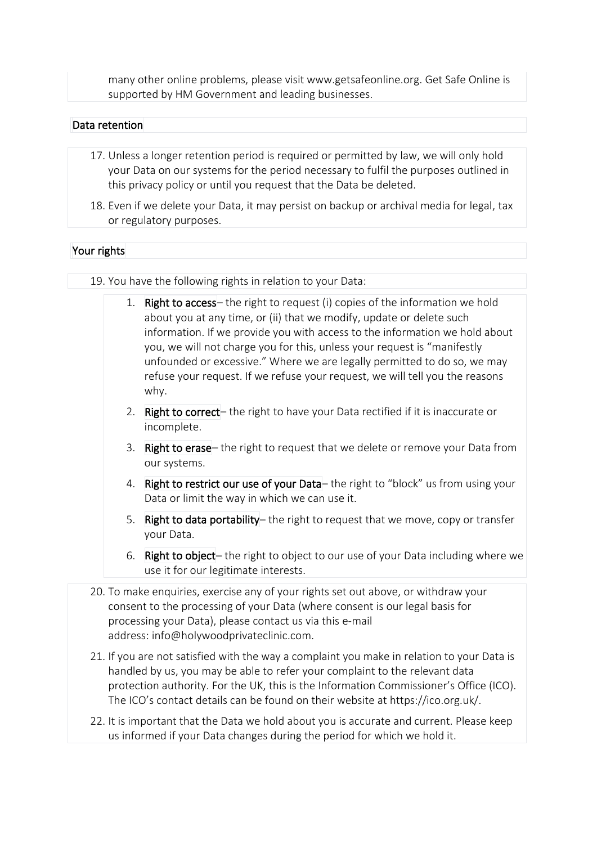many other online problems, please visit www.getsafeonline.org. Get Safe Online is supported by HM Government and leading businesses.

#### Data retention

- 17. Unless a longer retention period is required or permitted by law, we will only hold your Data on our systems for the period necessary to fulfil the purposes outlined in this privacy policy or until you request that the Data be deleted.
- 18. Even if we delete your Data, it may persist on backup or archival media for legal, tax or regulatory purposes.

## Your rights

19. You have the following rights in relation to your Data:

- 1. **Right to access** the right to request (i) copies of the information we hold about you at any time, or (ii) that we modify, update or delete such information. If we provide you with access to the information we hold about you, we will not charge you for this, unless your request is "manifestly unfounded or excessive." Where we are legally permitted to do so, we may refuse your request. If we refuse your request, we will tell you the reasons why.
- 2. Right to correct- the right to have your Data rectified if it is inaccurate or incomplete.
- 3. Right to erase– the right to request that we delete or remove your Data from our systems.
- 4. Right to restrict our use of your Data-the right to "block" us from using your Data or limit the way in which we can use it.
- 5. Right to data portability– the right to request that we move, copy or transfer your Data.
- 6. Right to object– the right to object to our use of your Data including where we use it for our legitimate interests.
- 20. To make enquiries, exercise any of your rights set out above, or withdraw your consent to the processing of your Data (where consent is our legal basis for processing your Data), please contact us via this e-mail address: info@holywoodprivateclinic.com.
- 21. If you are not satisfied with the way a complaint you make in relation to your Data is handled by us, you may be able to refer your complaint to the relevant data protection authority. For the UK, this is the Information Commissioner's Office (ICO). The ICO's contact details can be found on their website at https://ico.org.uk/.
- 22. It is important that the Data we hold about you is accurate and current. Please keep us informed if your Data changes during the period for which we hold it.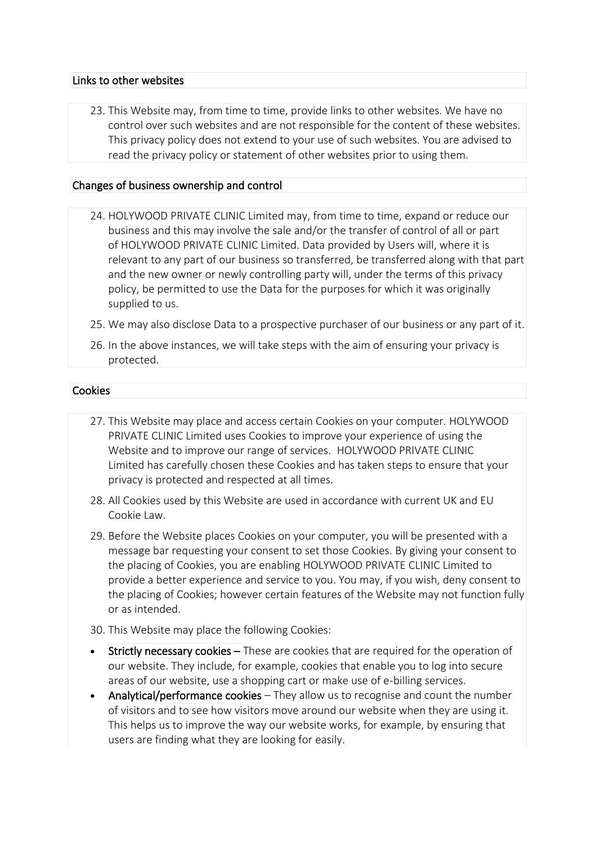## Links to other websites

23. This Website may, from time to time, provide links to other websites. We have no control over such websites and are not responsible for the content of these websites. This privacy policy does not extend to your use of such websites. You are advised to read the privacy policy or statement of other websites prior to using them.

## Changes of business ownership and control

- 24. HOLYWOOD PRIVATE CLINIC Limited may, from time to time, expand or reduce our business and this may involve the sale and/or the transfer of control of all or part of HOLYWOOD PRIVATE CLINIC Limited. Data provided by Users will, where it is relevant to any part of our business so transferred, be transferred along with that part and the new owner or newly controlling party will, under the terms of this privacy policy, be permitted to use the Data for the purposes for which it was originally supplied to us.
- 25. We may also disclose Data to a prospective purchaser of our business or any part of it.
- 26. In the above instances, we will take steps with the aim of ensuring your privacy is protected.

## Cookies

- 27. This Website may place and access certain Cookies on your computer. HOLYWOOD PRIVATE CLINIC Limited uses Cookies to improve your experience of using the Website and to improve our range of services. HOLYWOOD PRIVATE CLINIC Limited has carefully chosen these Cookies and has taken steps to ensure that your privacy is protected and respected at all times.
- 28. All Cookies used by this Website are used in accordance with current UK and EU Cookie Law.
- 29. Before the Website places Cookies on your computer, you will be presented with a message bar requesting your consent to set those Cookies. By giving your consent to the placing of Cookies, you are enabling HOLYWOOD PRIVATE CLINIC Limited to provide a better experience and service to you. You may, if you wish, deny consent to the placing of Cookies; however certain features of the Website may not function fully or as intended.
- 30. This Website may place the following Cookies:
- Strictly necessary cookies These are cookies that are required for the operation of our website. They include, for example, cookies that enable you to log into secure areas of our website, use a shopping cart or make use of e-billing services.
- Analytical/performance cookies They allow us to recognise and count the number of visitors and to see how visitors move around our website when they are using it. This helps us to improve the way our website works, for example, by ensuring that users are finding what they are looking for easily.